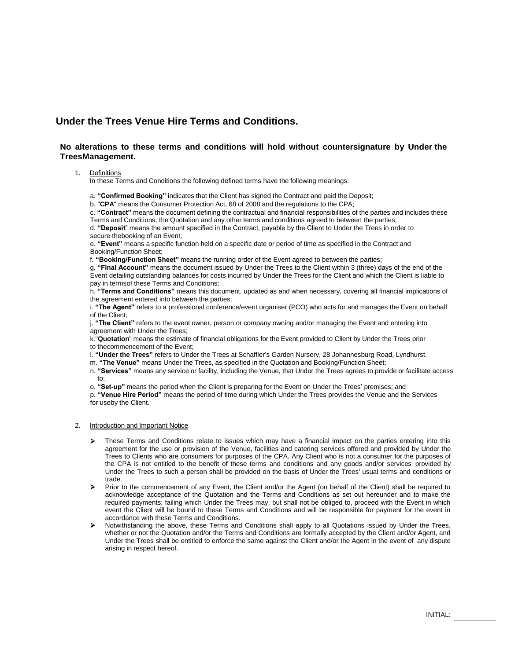## **Under the Trees Venue Hire Terms and Conditions.**

## **No alterations to these terms and conditions will hold without countersignature by Under the TreesManagement.**

## 1. Definitions

In these Terms and Conditions the following defined terms have the following meanings:

a. **"Confirmed Booking"** indicates that the Client has signed the Contract and paid the Deposit;

b. "**CPA**" means the Consumer Protection Act, 68 of 2008 and the regulations to the CPA;

c. **"Contract"** means the document defining the contractual and financial responsibilities of the parties and includes these Terms and Conditions, the Quotation and any other terms and conditions agreed to between the parties;

d. **"Deposit**" means the amount specified in the Contract, payable by the Client to Under the Trees in order to secure thebooking of an Event:

e. **"Event"** means a specific function held on a specific date or period of time as specified in the Contract and Booking/Function Sheet;

f. **"Booking/Function Sheet"** means the running order of the Event agreed to between the parties;

g. **"Final Account"** means the document issued by Under the Trees to the Client within 3 (three) days of the end of the Event detailing outstanding balances for costs incurred by Under the Trees for the Client and which the Client is liable to pay in termsof these Terms and Conditions;

h. **"Terms and Conditions"** means this document, updated as and when necessary, covering all financial implications of the agreement entered into between the parties;

i. **"The Agent"** refers to a professional conference/event organiser (PCO) who acts for and manages the Event on behalf of the Client;

j. **"The Client"** refers to the event owner, person or company owning and/or managing the Event and entering into agreement with Under the Trees;

k."**Quotation**" means the estimate of financial obligations for the Event provided to Client by Under the Trees prior to thecommencement of the Event;

l. **"Under the Trees"** refers to Under the Trees at Schaffler's Garden Nursery, 28 Johannesburg Road, Lyndhurst.

m. **"The Venue"** means Under the Trees, as specified in the Quotation and Booking/Function Sheet;

n. **"Services"** means any service or facility, including the Venue, that Under the Trees agrees to provide or facilitate access to;

o. **"Set-up"** means the period when the Client is preparing for the Event on Under the Trees' premises; and

p. **"Venue Hire Period"** means the period of time during which Under the Trees provides the Venue and the Services for useby the Client.

## 2. Introduction and Important Notice

- These Terms and Conditions relate to issues which may have a financial impact on the parties entering into this agreement for the use or provision of the Venue, facilities and catering services offered and provided by Under the Trees to Clients who are consumers for purposes of the CPA. Any Client who is not a consumer for the purposes of the CPA is not entitled to the benefit of these terms and conditions and any goods and/or services provided by Under the Trees to such a person shall be provided on the basis of Under the Trees' usual terms and conditions or trade.
- Prior to the commencement of any Event, the Client and/or the Agent (on behalf of the Client) shall be required to acknowledge acceptance of the Quotation and the Terms and Conditions as set out hereunder and to make the required payments; failing which Under the Trees may, but shall not be obliged to, proceed with the Event in which event the Client will be bound to these Terms and Conditions and will be responsible for payment for the event in accordance with these Terms and Conditions.
- Notwithstanding the above, these Terms and Conditions shall apply to all Quotations issued by Under the Trees, whether or not the Quotation and/or the Terms and Conditions are formally accepted by the Client and/or Agent, and Under the Trees shall be entitled to enforce the same against the Client and/or the Agent in the event of any dispute arising in respect hereof.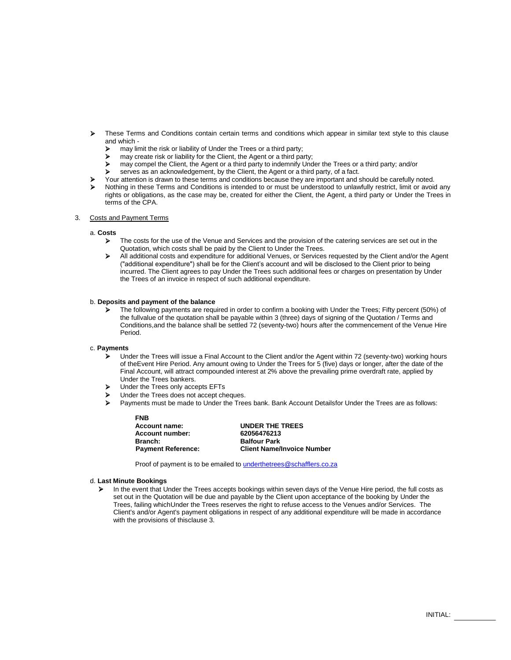- These Terms and Conditions contain certain terms and conditions which appear in similar text style to this clause and which -
	- $\triangleright$  may limit the risk or liability of Under the Trees or a third party;
	- $\triangleright$  may create risk or liability for the Client, the Agent or a third party;<br>may compel the Client, the Agent or a third party to indemnify Und
	- may compel the Client, the Agent or a third party to indemnify Under the Trees or a third party; and/or
	- serves as an acknowledgement, by the Client, the Agent or a third party, of a fact.
- Your attention is drawn to these terms and conditions because they are important and should be carefully noted.
- Nothing in these Terms and Conditions is intended to or must be understood to unlawfully restrict, limit or avoid any rights or obligations, as the case may be, created for either the Client, the Agent, a third party or Under the Trees in terms of the CPA.

## 3. Costs and Payment Terms

#### a. **Costs**

- The costs for the use of the Venue and Services and the provision of the catering services are set out in the Quotation, which costs shall be paid by the Client to Under the Trees.
- All additional costs and expenditure for additional Venues, or Services requested by the Client and/or the Agent ("additional expenditure") shall be for the Client's account and will be disclosed to the Client prior to being incurred. The Client agrees to pay Under the Trees such additional fees or charges on presentation by Under the Trees of an invoice in respect of such additional expenditure.

## b. **Deposits and payment of the balance**

 The following payments are required in order to confirm a booking with Under the Trees; Fifty percent (50%) of the fullvalue of the quotation shall be payable within 3 (three) days of signing of the Quotation / Terms and Conditions,and the balance shall be settled 72 (seventy-two) hours after the commencement of the Venue Hire Period.

#### c. **Payments**

- Under the Trees will issue a Final Account to the Client and/or the Agent within 72 (seventy-two) working hours of theEvent Hire Period. Any amount owing to Under the Trees for 5 (five) days or longer, after the date of the Final Account, will attract compounded interest at 2% above the prevailing prime overdraft rate, applied by Under the Trees bankers.
- > Under the Trees only accepts EFTs
- De Under the Trees does not accept cheques.
- Payments must be made to Under the Trees bank. Bank Account Detailsfor Under the Trees are as follows:

| UNDER THE TREES                   |
|-----------------------------------|
| 62056476213                       |
| <b>Balfour Park</b>               |
| <b>Client Name/Invoice Number</b> |
|                                   |

Proof of payment is to be emailed to underthetrees@schafflers.co.za

#### d. **Last Minute Bookings**

In the event that Under the Trees accepts bookings within seven days of the Venue Hire period, the full costs as set out in the Quotation will be due and payable by the Client upon acceptance of the booking by Under the Trees, failing whichUnder the Trees reserves the right to refuse access to the Venues and/or Services. The Client's and/or Agent's payment obligations in respect of any additional expenditure will be made in accordance with the provisions of thisclause 3.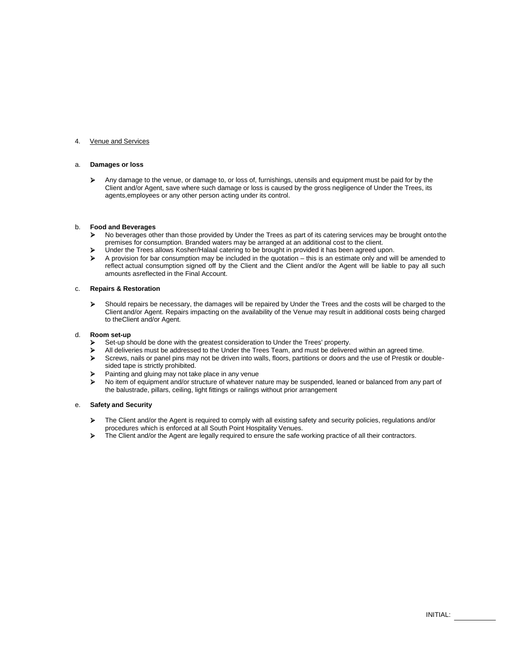## 4. Venue and Services

## a. **Damages or loss**

Any damage to the venue, or damage to, or loss of, furnishings, utensils and equipment must be paid for by the Client and/or Agent, save where such damage or loss is caused by the gross negligence of Under the Trees, its agents,employees or any other person acting under its control.

## b. **Food and Beverages**

- ▶ No beverages other than those provided by Under the Trees as part of its catering services may be brought onto the premises for consumption. Branded waters may be arranged at an additional cost to the client.
- Under the Trees allows Kosher/Halaal catering to be brought in provided it has been agreed upon.
- $\triangleright$  A provision for bar consumption may be included in the quotation this is an estimate only and will be amended to reflect actual consumption signed off by the Client and the Client and/or the Agent will be liable to pay all such amounts asreflected in the Final Account.

## c. **Repairs & Restoration**

 Should repairs be necessary, the damages will be repaired by Under the Trees and the costs will be charged to the Client and/or Agent. Repairs impacting on the availability of the Venue may result in additional costs being charged to theClient and/or Agent.

## d. **Room set-up**

- Set-up should be done with the greatest consideration to Under the Trees' property.
- All deliveries must be addressed to the Under the Trees Team, and must be delivered within an agreed time.
- Screws, nails or panel pins may not be driven into walls, floors, partitions or doors and the use of Prestik or doublesided tape is strictly prohibited.
- **Painting and gluing may not take place in any venue**
- > No item of equipment and/or structure of whatever nature may be suspended, leaned or balanced from any part of the balustrade, pillars, ceiling, light fittings or railings without prior arrangement

#### e. **Safety and Security**

- The Client and/or the Agent is required to comply with all existing safety and security policies, regulations and/or procedures which is enforced at all South Point Hospitality Venues.
- The Client and/or the Agent are legally required to ensure the safe working practice of all their contractors.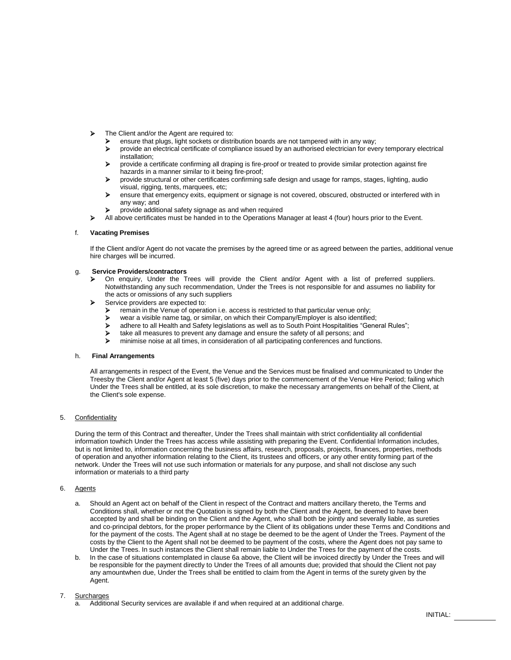- > The Client and/or the Agent are required to:
	- ensure that plugs, light sockets or distribution boards are not tampered with in any way;
	- provide an electrical certificate of compliance issued by an authorised electrician for every temporary electrical installation;
	- provide a certificate confirming all draping is fire-proof or treated to provide similar protection against fire hazards in a manner similar to it being fire-proof;
	- provide structural or other certificates confirming safe design and usage for ramps, stages, lighting, audio visual, rigging, tents, marquees, etc;
	- ensure that emergency exits, equipment or signage is not covered, obscured, obstructed or interfered with in any way; and
	- provide additional safety signage as and when required
	- All above certificates must be handed in to the Operations Manager at least 4 (four) hours prior to the Event.

#### f. **Vacating Premises**

If the Client and/or Agent do not vacate the premises by the agreed time or as agreed between the parties, additional venue hire charges will be incurred.

## g. **Service Providers/contractors**

- On enquiry, Under the Trees will provide the Client and/or Agent with a list of preferred suppliers. Notwithstanding any such recommendation, Under the Trees is not responsible for and assumes no liability for the acts or omissions of any such suppliers
- Service providers are expected to:
	- **EXECUTE:** remain in the Venue of operation i.e. access is restricted to that particular venue only;<br> **EXECUTE:** wear a visible name tag. or similar, on which their Company/Employer is also identified
	- → wear a visible name tag, or similar, on which their Company/Employer is also identified;<br>→ adhere to all Health and Safety legislations as well as to South Point Hospitalities "Gene
	- adhere to all Health and Safety legislations as well as to South Point Hospitalities "General Rules";
	- $\triangleright$  take all measures to prevent any damage and ensure the safety of all persons; and  $\triangleright$  minimise noise at all times in consideration of all participating conferences and function
	- minimise noise at all times, in consideration of all participating conferences and functions.

## h. **Final Arrangements**

All arrangements in respect of the Event, the Venue and the Services must be finalised and communicated to Under the Treesby the Client and/or Agent at least 5 (five) days prior to the commencement of the Venue Hire Period; failing which Under the Trees shall be entitled, at its sole discretion, to make the necessary arrangements on behalf of the Client, at the Client's sole expense.

## 5. Confidentiality

During the term of this Contract and thereafter, Under the Trees shall maintain with strict confidentiality all confidential information towhich Under the Trees has access while assisting with preparing the Event. Confidential Information includes, but is not limited to, information concerning the business affairs, research, proposals, projects, finances, properties, methods of operation and anyother information relating to the Client, its trustees and officers, or any other entity forming part of the network. Under the Trees will not use such information or materials for any purpose, and shall not disclose any such information or materials to a third party

## 6. Agents

- a. Should an Agent act on behalf of the Client in respect of the Contract and matters ancillary thereto, the Terms and Conditions shall, whether or not the Quotation is signed by both the Client and the Agent, be deemed to have been accepted by and shall be binding on the Client and the Agent, who shall both be jointly and severally liable, as sureties and co-principal debtors, for the proper performance by the Client of its obligations under these Terms and Conditions and for the payment of the costs. The Agent shall at no stage be deemed to be the agent of Under the Trees. Payment of the costs by the Client to the Agent shall not be deemed to be payment of the costs, where the Agent does not pay same to Under the Trees. In such instances the Client shall remain liable to Under the Trees for the payment of the costs.
- b. In the case of situations contemplated in clause 6a above, the Client will be invoiced directly by Under the Trees and will be responsible for the payment directly to Under the Trees of all amounts due; provided that should the Client not pay any amountwhen due, Under the Trees shall be entitled to claim from the Agent in terms of the surety given by the Agent.

## 7. Surcharges

a. Additional Security services are available if and when required at an additional charge.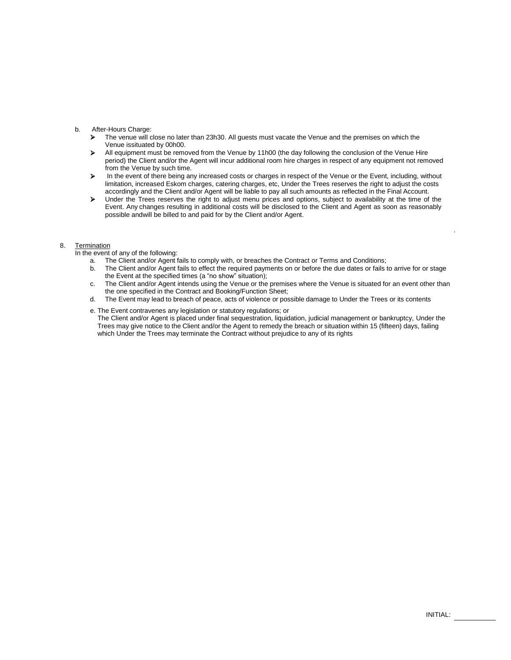# b. After-Hours Charge:<br>  $\sum_{n=1}^{\infty}$  The venue will c

- The venue will close no later than 23h30. All guests must vacate the Venue and the premises on which the Venue issituated by 00h00.
- All equipment must be removed from the Venue by 11h00 (the day following the conclusion of the Venue Hire period) the Client and/or the Agent will incur additional room hire charges in respect of any equipment not removed from the Venue by such time.
- In the event of there being any increased costs or charges in respect of the Venue or the Event, including, without limitation, increased Eskom charges, catering charges, etc, Under the Trees reserves the right to adjust the costs accordingly and the Client and/or Agent will be liable to pay all such amounts as reflected in the Final Account.
- Under the Trees reserves the right to adjust menu prices and options, subject to availability at the time of the Event. Any changes resulting in additional costs will be disclosed to the Client and Agent as soon as reasonably possible andwill be billed to and paid for by the Client and/or Agent.

#### 8. Termination

In the event of any of the following:

- a. The Client and/or Agent fails to comply with, or breaches the Contract or Terms and Conditions;
- b. The Client and/or Agent fails to effect the required payments on or before the due dates or fails to arrive for or stage the Event at the specified times (a "no show" situation);
- c. The Client and/or Agent intends using the Venue or the premises where the Venue is situated for an event other than the one specified in the Contract and Booking/Function Sheet;
- d. The Event may lead to breach of peace, acts of violence or possible damage to Under the Trees or its contents
- e. The Event contravenes any legislation or statutory regulations; or

The Client and/or Agent is placed under final sequestration, liquidation, judicial management or bankruptcy, Under the Trees may give notice to the Client and/or the Agent to remedy the breach or situation within 15 (fifteen) days, failing which Under the Trees may terminate the Contract without prejudice to any of its rights

.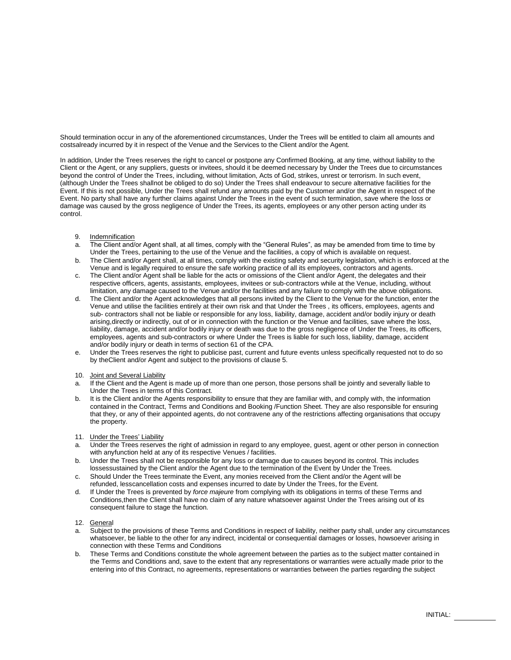Should termination occur in any of the aforementioned circumstances, Under the Trees will be entitled to claim all amounts and costsalready incurred by it in respect of the Venue and the Services to the Client and/or the Agent.

In addition, Under the Trees reserves the right to cancel or postpone any Confirmed Booking, at any time, without liability to the Client or the Agent, or any suppliers, guests or invitees, should it be deemed necessary by Under the Trees due to circumstances beyond the control of Under the Trees, including, without limitation, Acts of God, strikes, unrest or terrorism. In such event, (although Under the Trees shallnot be obliged to do so) Under the Trees shall endeavour to secure alternative facilities for the Event. If this is not possible, Under the Trees shall refund any amounts paid by the Customer and/or the Agent in respect of the Event. No party shall have any further claims against Under the Trees in the event of such termination, save where the loss or damage was caused by the gross negligence of Under the Trees, its agents, employees or any other person acting under its control.

- 9. Indemnification
- a. The Client and/or Agent shall, at all times, comply with the "General Rules", as may be amended from time to time by Under the Trees, pertaining to the use of the Venue and the facilities, a copy of which is available on request.
- b. The Client and/or Agent shall, at all times, comply with the existing safety and security legislation, which is enforced at the Venue and is legally required to ensure the safe working practice of all its employees, contractors and agents.
- c. The Client and/or Agent shall be liable for the acts or omissions of the Client and/or Agent, the delegates and their respective officers, agents, assistants, employees, invitees or sub-contractors while at the Venue, including, without limitation, any damage caused to the Venue and/or the facilities and any failure to comply with the above obligations.
- d. The Client and/or the Agent acknowledges that all persons invited by the Client to the Venue for the function, enter the Venue and utilise the facilities entirely at their own risk and that Under the Trees , its officers, employees, agents and sub- contractors shall not be liable or responsible for any loss, liability, damage, accident and/or bodily injury or death arising,directly or indirectly, out of or in connection with the function or the Venue and facilities, save where the loss, liability, damage, accident and/or bodily injury or death was due to the gross negligence of Under the Trees, its officers, employees, agents and sub-contractors or where Under the Trees is liable for such loss, liability, damage, accident and/or bodily injury or death in terms of section 61 of the CPA.
- e. Under the Trees reserves the right to publicise past, current and future events unless specifically requested not to do so by theClient and/or Agent and subject to the provisions of clause 5.
- 10. Joint and Several Liability
- a. If the Client and the Agent is made up of more than one person, those persons shall be jointly and severally liable to Under the Trees in terms of this Contract.
- b. It is the Client and/or the Agents responsibility to ensure that they are familiar with, and comply with, the information contained in the Contract, Terms and Conditions and Booking /Function Sheet. They are also responsible for ensuring that they, or any of their appointed agents, do not contravene any of the restrictions affecting organisations that occupy the property.
- 11. Under the Trees' Liability
- a. Under the Trees reserves the right of admission in regard to any employee, guest, agent or other person in connection with anyfunction held at any of its respective Venues / facilities.
- b. Under the Trees shall not be responsible for any loss or damage due to causes beyond its control. This includes lossessustained by the Client and/or the Agent due to the termination of the Event by Under the Trees.
- c. Should Under the Trees terminate the Event, any monies received from the Client and/or the Agent will be refunded, lesscancellation costs and expenses incurred to date by Under the Trees, for the Event.
- d. If Under the Trees is prevented by *force majeure* from complying with its obligations in terms of these Terms and Conditions,then the Client shall have no claim of any nature whatsoever against Under the Trees arising out of its consequent failure to stage the function.
- 12. General
- a. Subject to the provisions of these Terms and Conditions in respect of liability, neither party shall, under any circumstances whatsoever, be liable to the other for any indirect, incidental or consequential damages or losses, howsoever arising in connection with these Terms and Conditions
- b. These Terms and Conditions constitute the whole agreement between the parties as to the subject matter contained in the Terms and Conditions and, save to the extent that any representations or warranties were actually made prior to the entering into of this Contract, no agreements, representations or warranties between the parties regarding the subject